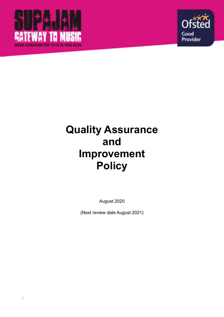



## **Quality Assurance and Improvement Policy**

August 2020

(Next review date August 2021)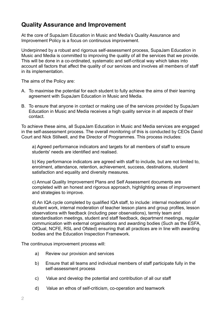## **Quality Assurance and Improvement**

At the core of SupaJam Education in Music and Media's Quality Assurance and Improvement Policy is a focus on continuous improvement.

Underpinned by a robust and rigorous self-assessment process, SupaJam Education in Music and Media is committed to improving the quality of all the services that we provide. This will be done in a co-ordinated, systematic and self-critical way which takes into account all factors that affect the quality of our services and involves all members of staff in its implementation.

The aims of the Policy are:

- A. To maximise the potential for each student to fully achieve the aims of their learning agreement with SupaJam Education in Music and Media.
- B. To ensure that anyone in contact or making use of the services provided by SupaJam Education in Music and Media receives a high quality service in all aspects of their contact.

To achieve these aims, all SupaJam Education in Music and Media services are engaged in the self-assessment process. The overall monitoring of this is conducted by CEOs David Court and Nick Stillwell, and the Director of Programmes. This process includes:

a) Agreed performance indicators and targets for all members of staff to ensure students' needs are identified and realised.

b) Key performance indicators are agreed with staff to include, but are not limited to, enrolment, attendance, retention, achievement, success, destinations, student satisfaction and equality and diversity measures.

c) Annual Quality Improvement Plans and Self Assessment documents are completed with an honest and rigorous approach, highlighting areas of improvement and strategies to improve.

d) An IQA cycle completed by qualified IQA staff, to include: internal moderation of student work, internal moderation of teacher lesson plans and group profiles, lesson observations with feedback (including peer observations), termly team and standardisation meetings, student and staff feedback, department meetings, regular communication with external organisations and awarding bodies (Such as the ESFA, OfQual, NCFE, RSL and Ofsted) ensuring that all practices are in line with awarding bodies and the Education Inspection Framework.

The continuous improvement process will:

- a) Review our provision and services
- b) Ensure that all teams and individual members of staff participate fully in the self-assessment process
- c) Value and develop the potential and contribution of all our staff
- d) Value an ethos of self-criticism, co-operation and teamwork